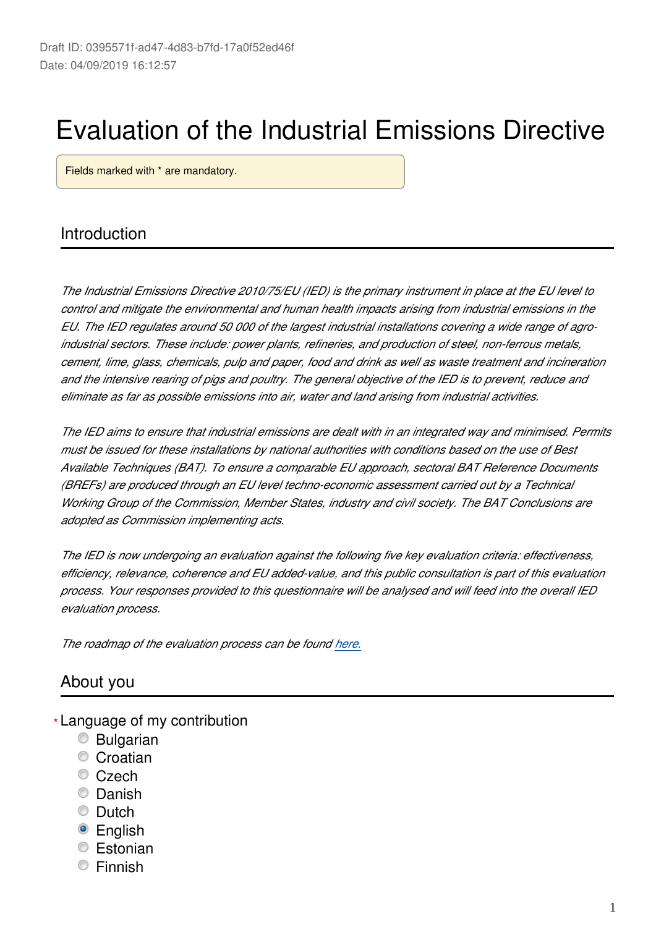# Evaluation of the Industrial Emissions Directive

Fields marked with \* are mandatory.

## Introduction

*The Industrial Emissions Directive 2010/75/EU (IED) is the primary instrument in place at the EU level to control and mitigate the environmental and human health impacts arising from industrial emissions in the EU. The IED regulates around 50 000 of the largest industrial installations covering a wide range of agroindustrial sectors. These include: power plants, refineries, and production of steel, non-ferrous metals, cement, lime, glass, chemicals, pulp and paper, food and drink as well as waste treatment and incineration and the intensive rearing of pigs and poultry. The general objective of the IED is to prevent, reduce and eliminate as far as possible emissions into air, water and land arising from industrial activities.*

*The IED aims to ensure that industrial emissions are dealt with in an integrated way and minimised. Permits must be issued for these installations by national authorities with conditions based on the use of Best Available Techniques (BAT). To ensure a comparable EU approach, sectoral BAT Reference Documents (BREFs) are produced through an EU level techno-economic assessment carried out by a Technical Working Group of the Commission, Member States, industry and civil society. The BAT Conclusions are adopted as Commission implementing acts.*

*The IED is now undergoing an evaluation against the following five key evaluation criteria: effectiveness, efficiency, relevance, coherence and EU added-value, and this public consultation is part of this evaluation process. Your responses provided to this questionnaire will be analysed and will feed into the overall IED evaluation process.*

*The roadmap of the evaluation process can be found [here.](https://ec.europa.eu/info/law/better-regulation/initiatives/ares-2018-4758971_en)*

### About you

- Language of my contribution **\***
	- Bulgarian
	- Croatian
	- Czech
	- **C** Danish
	- **C** Dutch
	- <sup>O</sup> English
	- Estonian
	- **Einnish**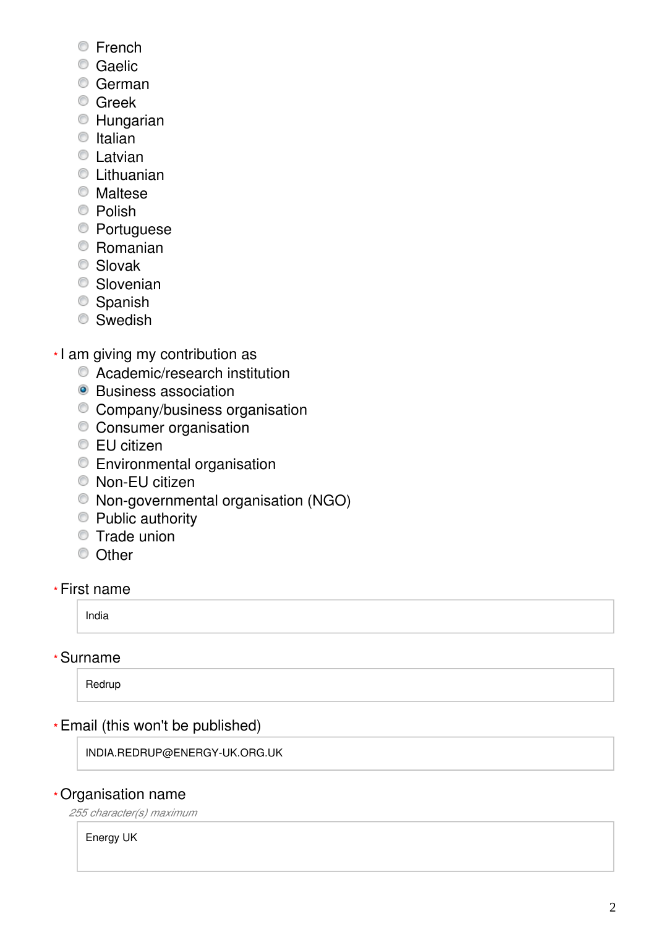- **Erench**
- **Caelic**
- German
- **C** Greek
- **Hungarian**
- $\circ$  Italian
- **C** Latvian
- **C** Lithuanian
- Maltese
- <sup>O</sup> Polish
- Portuguese
- Romanian
- Slovak
- Slovenian
- <sup>O</sup> Spanish
- **Swedish**
- \*I am giving my contribution as
	- Academic/research institution
	- Business association
	- Company/business organisation
	- Consumer organisation
	- EU citizen
	- Environmental organisation
	- Non-EU citizen
	- Non-governmental organisation (NGO)
	- Public authority
	- **Trade union**
	- <sup>O</sup> Other

### First name

India

### Surname

Redrup

# Email (this won't be published) **\*\*\*\*\***

INDIA.REDRUP@ENERGY-UK.ORG.UK

### Organisation name

*255 character(s) maximum*

Energy UK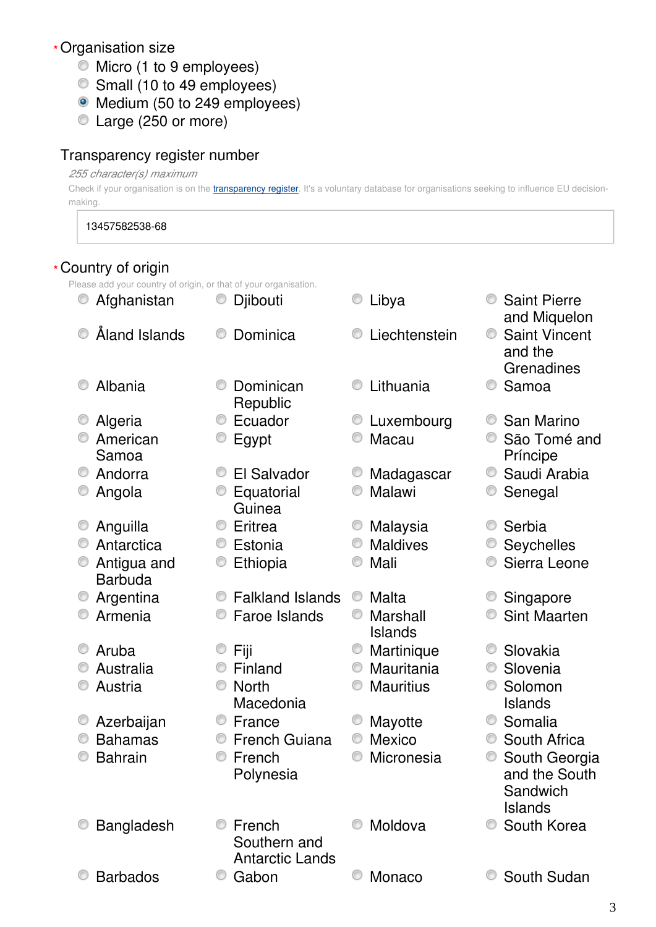### Organisation size **\***

- $\bullet$  Micro (1 to 9 employees)
- Small (10 to 49 employees)
- Medium (50 to 249 employees)
- Large (250 or more)

### Transparency register number

### *255 character(s) maximum*

Check if your organisation is on the *[transparency register](http://ec.europa.eu/transparencyregister/public/homePage.do?redir=false&locale=en)*. It's a voluntary database for organisations seeking to influence EU decisionmaking.

13457582538-68

|   | * Country of origin                                              |   |                                                  |   |                            |   |                                               |
|---|------------------------------------------------------------------|---|--------------------------------------------------|---|----------------------------|---|-----------------------------------------------|
|   | Please add your country of origin, or that of your organisation. |   |                                                  |   |                            |   |                                               |
|   | Afghanistan                                                      |   | Djibouti                                         |   | Libya                      |   | <b>Saint Pierre</b><br>and Miquelon           |
|   | Åland Islands                                                    |   | Dominica                                         |   | Liechtenstein              | O | <b>Saint Vincent</b><br>and the<br>Grenadines |
|   | Albania                                                          |   | Dominican<br>Republic                            |   | Lithuania                  |   | Samoa                                         |
|   | Algeria                                                          |   | Ecuador                                          |   | Luxembourg                 |   | San Marino                                    |
|   | American<br>Samoa                                                |   | Egypt                                            |   | Macau                      |   | São Tomé and<br>Príncipe                      |
| O | Andorra                                                          | O | El Salvador                                      |   | Madagascar                 | O | Saudi Arabia                                  |
|   | Angola                                                           |   | Equatorial<br>Guinea                             |   | Malawi                     |   | Senegal                                       |
|   | Anguilla                                                         | O | Eritrea                                          |   | Malaysia                   |   | Serbia                                        |
|   | Antarctica                                                       | O | Estonia                                          |   | <b>Maldives</b>            |   | Seychelles                                    |
|   | Antigua and<br><b>Barbuda</b>                                    | O | Ethiopia                                         |   | Mali                       |   | Sierra Leone                                  |
|   | Argentina                                                        |   | <b>Falkland Islands</b>                          |   | Malta                      |   | Singapore                                     |
|   | Armenia                                                          |   | Faroe Islands                                    | O | Marshall<br><b>Islands</b> |   | <b>Sint Maarten</b>                           |
|   | Aruba                                                            |   | Fiji                                             |   | Martinique                 |   | Slovakia                                      |
|   | Australia                                                        |   | Finland                                          | O | Mauritania                 | O | Slovenia                                      |
|   | Austria                                                          |   | <b>North</b>                                     |   | <b>Mauritius</b>           |   | Solomon                                       |
|   |                                                                  |   | Macedonia                                        |   |                            |   | <b>Islands</b>                                |
|   | Azerbaijan                                                       | 0 | France                                           |   | Mayotte                    |   | Somalia                                       |
|   | <b>Bahamas</b>                                                   |   | <b>French Guiana</b>                             |   | Mexico                     |   | South Africa                                  |
|   | <b>Bahrain</b>                                                   |   | French                                           |   | Micronesia                 |   | South Georgia                                 |
|   |                                                                  |   | Polynesia                                        |   |                            |   | and the South<br>Sandwich<br><b>Islands</b>   |
|   | Bangladesh                                                       |   | French<br>Southern and<br><b>Antarctic Lands</b> |   | Moldova                    |   | South Korea                                   |
|   | <b>Barbados</b>                                                  |   | Gabon                                            |   | Monaco                     |   | South Sudan                                   |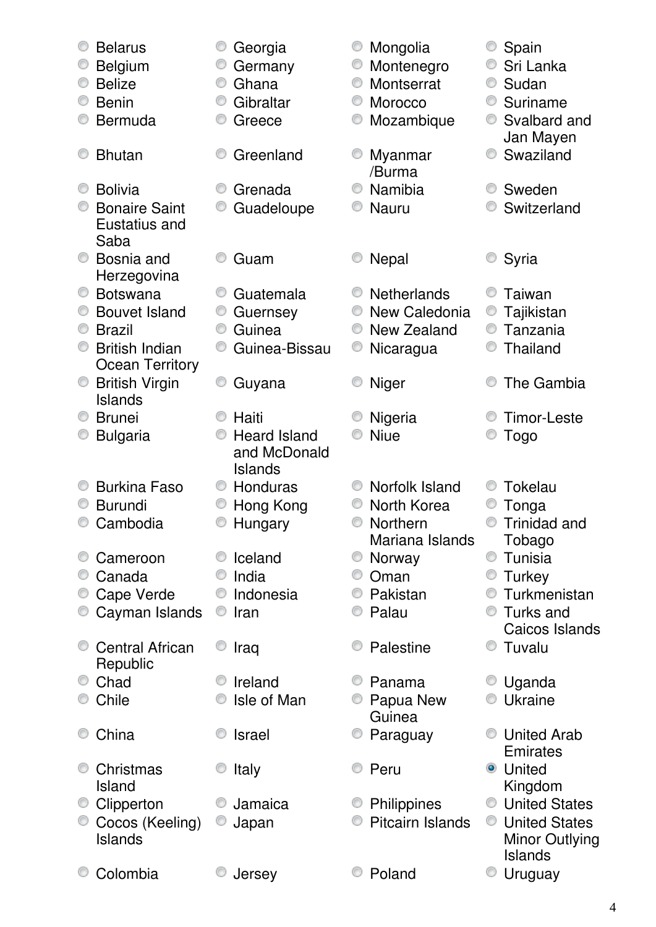|   | <b>Belarus</b>         |                | Georgia             |   | Mongolia           |   | Spain                |
|---|------------------------|----------------|---------------------|---|--------------------|---|----------------------|
|   | <b>Belgium</b>         |                | Germany             | O | Montenegro         | O | Sri Lanka            |
|   | <b>Belize</b>          | O              | Ghana               | O | Montserrat         |   | Sudan                |
| O | <b>Benin</b>           | O              | Gibraltar           | O | Morocco            | O | Suriname             |
|   | <b>Bermuda</b>         | O              | Greece              |   | Mozambique         |   | Svalbard and         |
|   |                        |                |                     |   |                    |   | Jan Mayen            |
|   | <b>Bhutan</b>          |                | Greenland           |   | Myanmar            |   | Swaziland            |
|   |                        |                |                     |   | /Burma             |   |                      |
|   | <b>Bolivia</b>         |                | Grenada             |   | Namibia            |   | Sweden               |
|   | <b>Bonaire Saint</b>   | O              | Guadeloupe          |   | <b>Nauru</b>       |   | Switzerland          |
|   | Eustatius and          |                |                     |   |                    |   |                      |
|   | Saba                   |                |                     |   |                    |   |                      |
|   | Bosnia and             |                | Guam                |   | <b>Nepal</b>       |   | Syria                |
|   | Herzegovina            |                |                     |   |                    |   |                      |
| O | <b>Botswana</b>        | O              | Guatemala           | O | <b>Netherlands</b> |   | Taiwan               |
|   | <b>Bouvet Island</b>   | O              | Guernsey            | 0 | New Caledonia      | O | Tajikistan           |
| O | <b>Brazil</b>          | O              | Guinea              | O | New Zealand        | O | Tanzania             |
|   | <b>British Indian</b>  | O              | Guinea-Bissau       | O | Nicaragua          |   | <b>Thailand</b>      |
|   | Ocean Territory        |                |                     |   |                    |   |                      |
| O | <b>British Virgin</b>  | O              | Guyana              | O | <b>Niger</b>       |   | The Gambia           |
|   | <b>Islands</b>         |                |                     |   |                    |   |                      |
|   | <b>Brunei</b>          |                | Haiti               |   | Nigeria            |   | Timor-Leste          |
|   | <b>Bulgaria</b>        | O              | <b>Heard Island</b> |   | <b>Niue</b>        |   | <b>Togo</b>          |
|   |                        |                | and McDonald        |   |                    |   |                      |
|   |                        |                | Islands             |   |                    |   |                      |
|   | <b>Burkina Faso</b>    |                | Honduras            |   | Norfolk Island     |   | Tokelau              |
|   | <b>Burundi</b>         |                | Hong Kong           |   | North Korea        |   | Tonga                |
|   | Cambodia               | $\circledcirc$ | Hungary             |   | Northern           |   | Trinidad and         |
|   |                        |                |                     |   | Mariana Islands    |   | Tobago               |
|   | Cameroon               |                | Iceland             | O | Norway             | O | Tunisia              |
|   | Canada                 |                | India               |   | Oman               |   | Turkey               |
|   | Cape Verde             | O              | Indonesia           | O | Pakistan           |   | Turkmenistan         |
|   | Cayman Islands         | O              | Iran                |   | Palau              |   | Turks and            |
|   |                        |                |                     |   |                    |   | Caicos Islands       |
|   | <b>Central African</b> |                | Iraq                |   | Palestine          |   | Tuvalu               |
|   | Republic               |                |                     |   |                    |   |                      |
|   | Chad                   |                | Ireland             |   | Panama             |   | © Uganda             |
|   | Chile                  |                | Isle of Man         |   | Papua New          |   | Ukraine              |
|   |                        |                |                     |   | Guinea             |   |                      |
|   | China                  |                | <b>Israel</b>       |   | Paraguay           |   | United Arab          |
|   |                        |                |                     |   |                    |   | Emirates             |
|   | Christmas              |                | Italy               |   | Peru               |   | <b>O</b> United      |
|   | Island                 |                |                     |   |                    |   | Kingdom              |
|   | Clipperton             |                | Jamaica             |   | Philippines        | O | <b>United States</b> |
|   | Cocos (Keeling)        | O              | Japan               |   | Pitcairn Islands   | 0 | <b>United States</b> |
|   | <b>Islands</b>         |                |                     |   |                    |   | Minor Outlying       |
|   |                        |                |                     |   |                    |   | <b>Islands</b>       |
|   | Colombia               |                | Jersey              |   | Poland             |   | Uruguay              |
|   |                        |                |                     |   |                    |   |                      |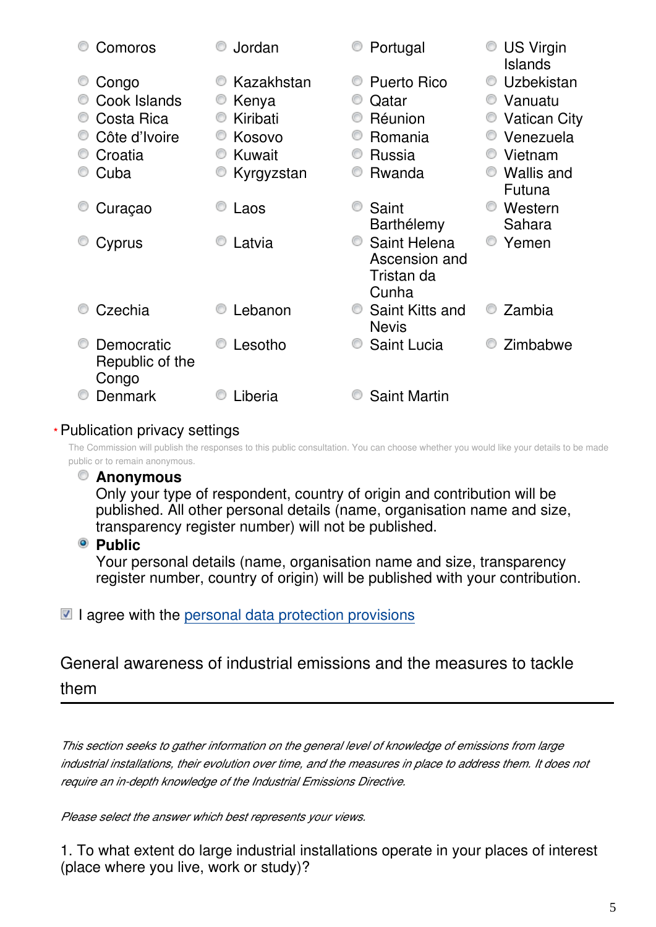| Comoros                                | Jordan     | Portugal                                             | <b>US Virgin</b><br><b>Islands</b> |
|----------------------------------------|------------|------------------------------------------------------|------------------------------------|
| Congo                                  | Kazakhstan | <b>Puerto Rico</b>                                   | Uzbekistan                         |
| Cook Islands                           | Kenya      | Qatar                                                | Vanuatu                            |
| Costa Rica                             | Kiribati   | Réunion                                              | <b>Vatican City</b>                |
| Côte d'Ivoire                          | Kosovo     | Romania                                              | Venezuela                          |
| Croatia                                | Kuwait     | Russia                                               | Vietnam                            |
| Cuba                                   | Kyrgyzstan | Rwanda                                               | <b>Wallis and</b><br>Futuna        |
| Curaçao                                | Laos       | Saint<br>Barthélemy                                  | Western<br>Sahara                  |
| Cyprus                                 | Latvia     | Saint Helena<br>Ascension and<br>Tristan da<br>Cunha | Yemen                              |
| Czechia                                | Lebanon    | Saint Kitts and<br><b>Nevis</b>                      | Zambia                             |
| Democratic<br>Republic of the<br>Congo | Lesotho    | <b>Saint Lucia</b>                                   | Zimbabwe                           |
| Denmark                                | Liberia    | <b>Saint Martin</b>                                  |                                    |

### Publication privacy settings **\***

The Commission will publish the responses to this public consultation. You can choose whether you would like your details to be made public or to remain anonymous.

### **Anonymous**

Only your type of respondent, country of origin and contribution will be published. All other personal details (name, organisation name and size, transparency register number) will not be published.

### **Public**

Your personal details (name, organisation name and size, transparency register number, country of origin) will be published with your contribution.

 $\blacksquare$  I agree with the [personal data protection provisions](https://ec.europa.eu/info/law/better-regulation/specific-privacy-statement_en)

General awareness of industrial emissions and the measures to tackle them

*This section seeks to gather information on the general level of knowledge of emissions from large industrial installations, their evolution over time, and the measures in place to address them. It does not require an in-depth knowledge of the Industrial Emissions Directive.*

*Please select the answer which best represents your views.*

1. To what extent do large industrial installations operate in your places of interest (place where you live, work or study)?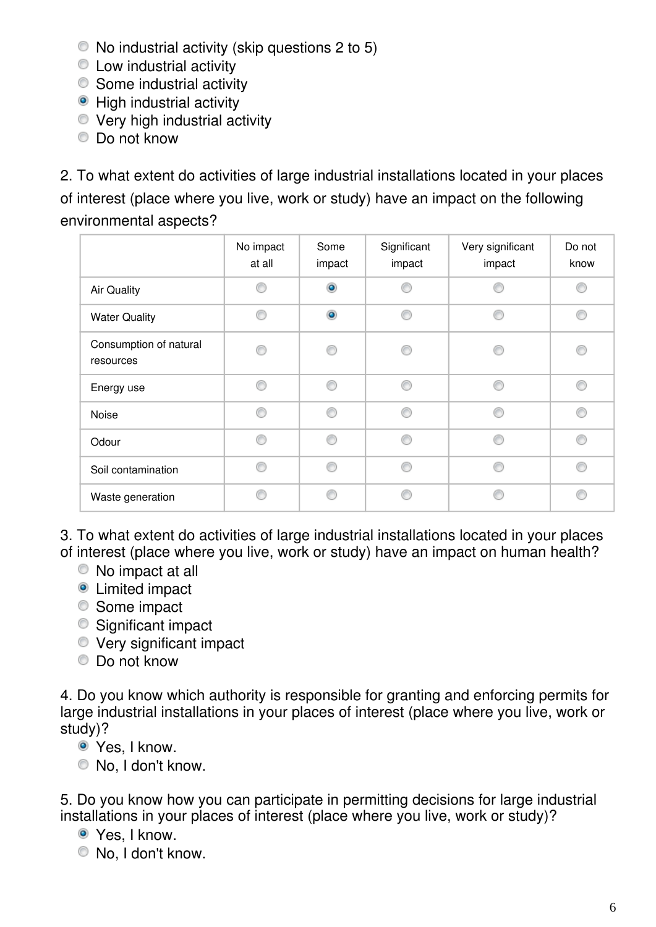- No industrial activity (skip questions 2 to 5)
- **EXECUTE:** Low industrial activity
- Some industrial activity
- High industrial activity
- Very high industrial activity
- Do not know

2. To what extent do activities of large industrial installations located in your places of interest (place where you live, work or study) have an impact on the following environmental aspects?

|                                     | No impact<br>at all | Some<br>impact | Significant<br>impact | Very significant<br>impact | Do not<br>know |
|-------------------------------------|---------------------|----------------|-----------------------|----------------------------|----------------|
| Air Quality                         |                     | $\bullet$      |                       |                            |                |
| <b>Water Quality</b>                | ⋒                   | $\bullet$      | ⋒                     | ⋒                          | ⊙              |
| Consumption of natural<br>resources |                     |                | ⋒                     |                            | ⋒              |
| Energy use                          |                     | ⋒              | A                     | ⋒                          | C              |
| Noise                               |                     | e              | ⋒                     | e                          | ⋒              |
| Odour                               | ⋒                   | ⋒              | ⋒                     | ⋒                          | ∩              |
| Soil contamination                  |                     | A              | ⋒                     | ⋒                          | ◎              |
| Waste generation                    |                     |                | e                     |                            | ⋒              |

3. To what extent do activities of large industrial installations located in your places of interest (place where you live, work or study) have an impact on human health?

- No impact at all
- **O** Limited impact
- Some impact
- Significant impact
- Very significant impact
- Do not know

4. Do you know which authority is responsible for granting and enforcing permits for large industrial installations in your places of interest (place where you live, work or study)?

- Yes, I know.
- No, I don't know.

5. Do you know how you can participate in permitting decisions for large industrial installations in your places of interest (place where you live, work or study)?

- Yes, I know.
- No, I don't know.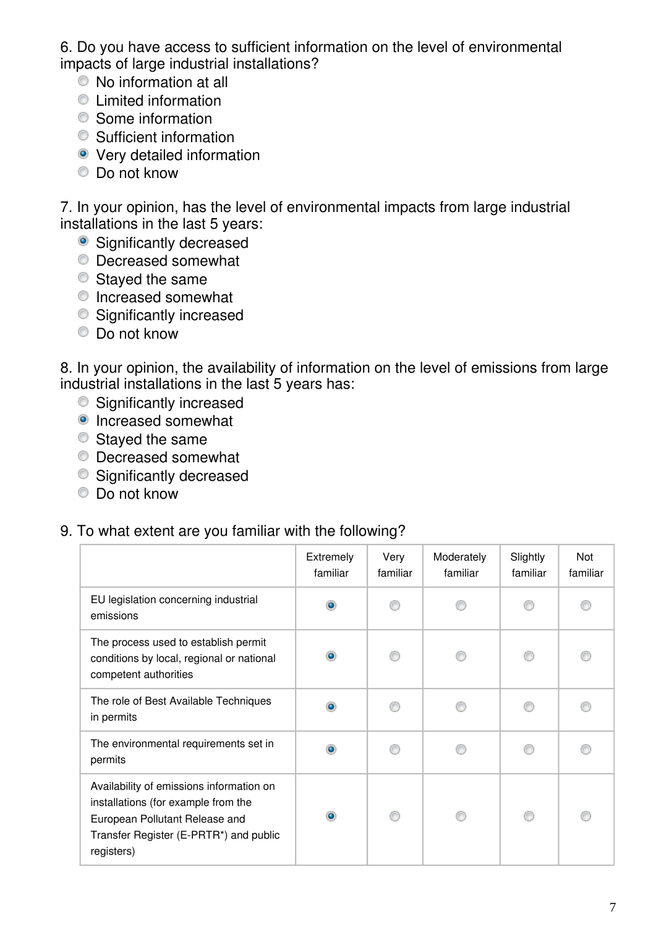6. Do you have access to sufficient information on the level of environmental impacts of large industrial installations?

- No information at all
- Limited information
- **■** Some information
- Sufficient information
- **•** Very detailed information
- Do not know

7. In your opinion, has the level of environmental impacts from large industrial installations in the last 5 years:

- Significantly decreased
- Decreased somewhat
- Stayed the same
- $\bullet$  Increased somewhat
- **Significantly increased**
- Do not know

8. In your opinion, the availability of information on the level of emissions from large industrial installations in the last 5 years has:

- $\bullet$  Significantly increased
- Increased somewhat
- **■** Staved the same
- Decreased somewhat
- **Significantly decreased**
- **Do not know**

### 9. To what extent are you familiar with the following?

|                                                                                                                                                                           | Extremely<br>familiar | Very<br>familiar | Moderately<br>familiar | Slightly<br>familiar | Not<br>familiar |
|---------------------------------------------------------------------------------------------------------------------------------------------------------------------------|-----------------------|------------------|------------------------|----------------------|-----------------|
| EU legislation concerning industrial<br>emissions                                                                                                                         | $\bullet$             |                  |                        |                      |                 |
| The process used to establish permit<br>conditions by local, regional or national<br>competent authorities                                                                |                       |                  |                        |                      |                 |
| The role of Best Available Techniques<br>in permits                                                                                                                       | ۵                     |                  |                        |                      |                 |
| The environmental requirements set in<br>permits                                                                                                                          |                       |                  |                        |                      |                 |
| Availability of emissions information on<br>installations (for example from the<br>European Pollutant Release and<br>Transfer Register (E-PRTR*) and public<br>registers) | $\bullet$             |                  |                        |                      |                 |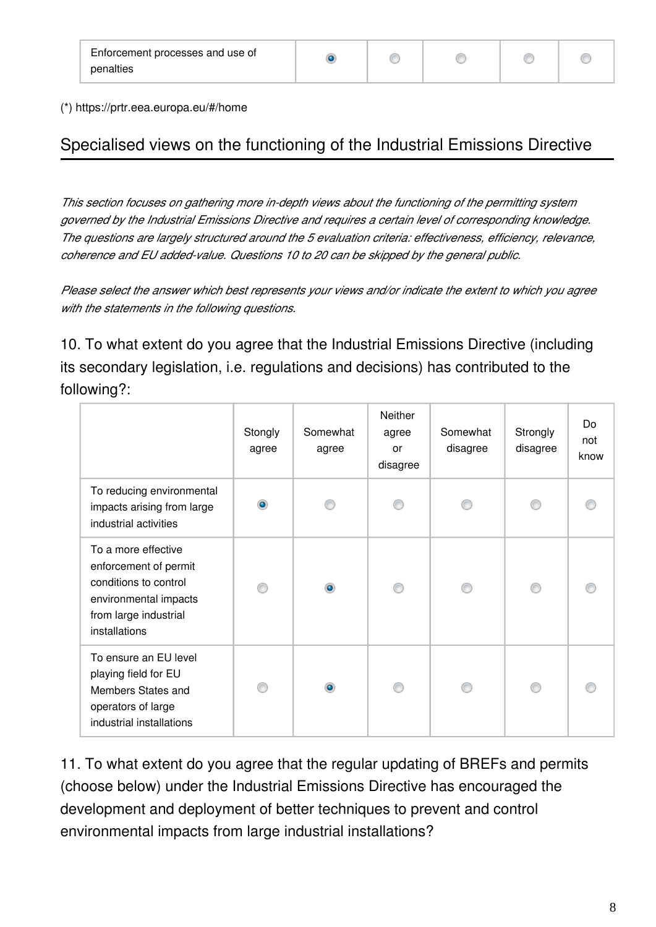⊙

⊙

(\*) https://prtr.eea.europa.eu/#/home

# Specialised views on the functioning of the Industrial Emissions Directive

*This section focuses on gathering more in-depth views about the functioning of the permitting system governed by the Industrial Emissions Directive and requires a certain level of corresponding knowledge. The questions are largely structured around the 5 evaluation criteria: effectiveness, efficiency, relevance, coherence and EU added-value. Questions 10 to 20 can be skipped by the general public.*

*Please select the answer which best represents your views and/or indicate the extent to which you agree with the statements in the following questions.*

10. To what extent do you agree that the Industrial Emissions Directive (including its secondary legislation, i.e. regulations and decisions) has contributed to the following?:

|                                                                                                                                          | Stongly<br>agree | Somewhat<br>agree | Neither<br>agree<br>or<br>disagree | Somewhat<br>disagree | Strongly<br>disagree | Do<br>not<br>know |
|------------------------------------------------------------------------------------------------------------------------------------------|------------------|-------------------|------------------------------------|----------------------|----------------------|-------------------|
| To reducing environmental<br>impacts arising from large<br>industrial activities                                                         | ۰                |                   | ß                                  |                      |                      |                   |
| To a more effective<br>enforcement of permit<br>conditions to control<br>environmental impacts<br>from large industrial<br>installations |                  | $\bullet$         |                                    |                      |                      |                   |
| To ensure an EU level<br>playing field for EU<br>Members States and<br>operators of large<br>industrial installations                    |                  | ۵                 |                                    |                      |                      |                   |

11. To what extent do you agree that the regular updating of BREFs and permits (choose below) under the Industrial Emissions Directive has encouraged the development and deployment of better techniques to prevent and control environmental impacts from large industrial installations?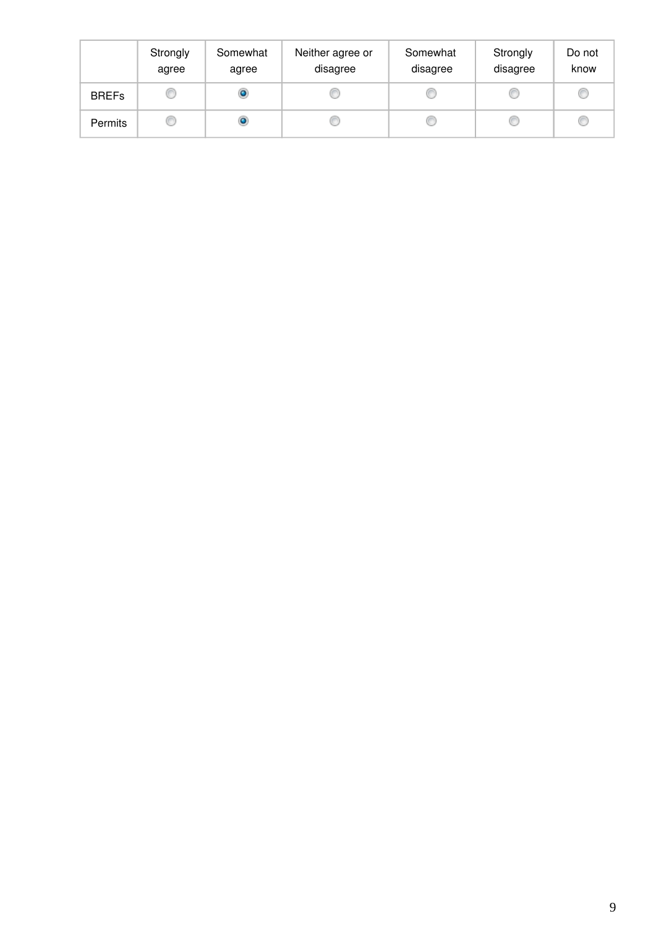|                | Strongly<br>agree | Somewhat<br>agree | Neither agree or<br>disagree | Somewhat<br>disagree | Strongly<br>disagree | Do not<br>know |
|----------------|-------------------|-------------------|------------------------------|----------------------|----------------------|----------------|
| <b>BREFs</b>   |                   | ۰                 |                              |                      |                      |                |
| <b>Permits</b> |                   | ۰                 |                              |                      |                      |                |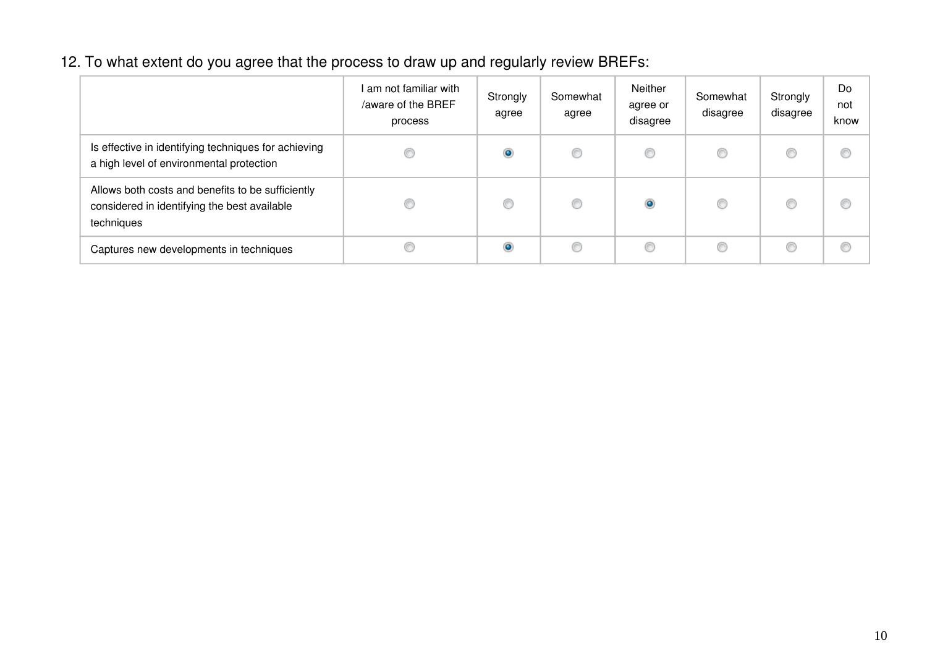# 12. To what extent do you agree that the process to draw up and regularly review BREFs:

|                                                                                                                 | I am not familiar with<br>/aware of the BREF<br>process | Strongly<br>agree | Somewhat<br>agree | Neither<br>agree or<br>disagree | Somewhat<br>disagree | Strongly<br>disagree | Do<br>not<br>know |
|-----------------------------------------------------------------------------------------------------------------|---------------------------------------------------------|-------------------|-------------------|---------------------------------|----------------------|----------------------|-------------------|
| Is effective in identifying techniques for achieving<br>a high level of environmental protection                |                                                         | $\circ$           | C                 | O                               |                      |                      | €                 |
| Allows both costs and benefits to be sufficiently<br>considered in identifying the best available<br>techniques |                                                         | C                 | C                 | ۱                               | €                    | €                    | €                 |
| Captures new developments in techniques                                                                         |                                                         | $\bullet$         | C                 | C                               |                      | C                    | €                 |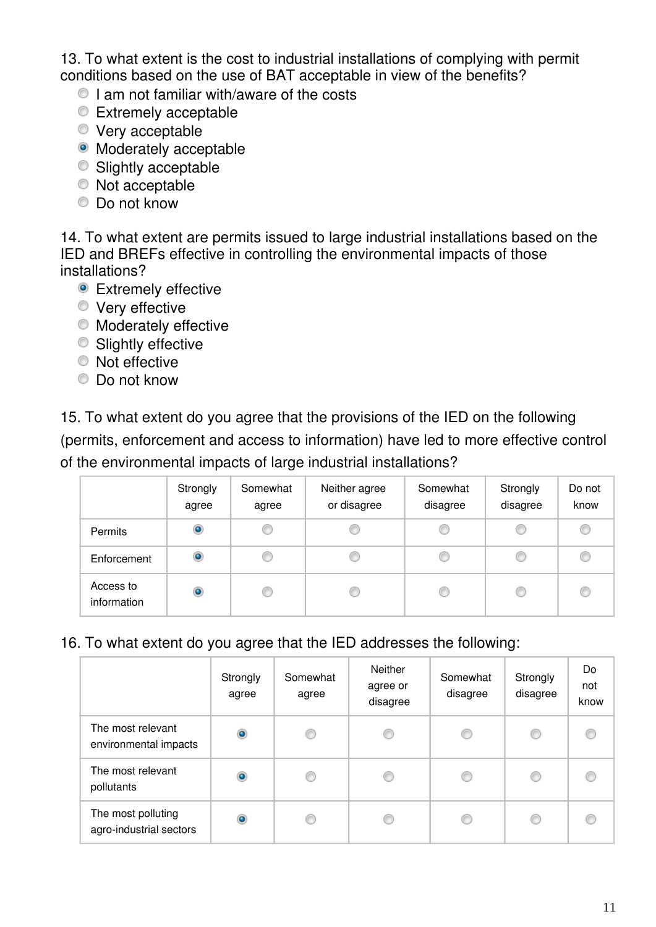13. To what extent is the cost to industrial installations of complying with permit conditions based on the use of BAT acceptable in view of the benefits?

- $\bullet$  I am not familiar with/aware of the costs
- Extremely acceptable
- Very acceptable
- Moderately acceptable
- Slightly acceptable
- $\bullet$  Not acceptable
- Do not know

14. To what extent are permits issued to large industrial installations based on the IED and BREFs effective in controlling the environmental impacts of those installations?

- **•** Extremely effective
- **Very effective**
- $\bullet$  Moderately effective
- **Slightly effective**
- $\bullet$  Not effective
- Do not know

15. To what extent do you agree that the provisions of the IED on the following (permits, enforcement and access to information) have led to more effective control of the environmental impacts of large industrial installations?

|                          | Strongly<br>agree | Somewhat<br>agree | Neither agree<br>or disagree | Somewhat<br>disagree | Strongly<br>disagree | Do not<br>know |
|--------------------------|-------------------|-------------------|------------------------------|----------------------|----------------------|----------------|
| <b>Permits</b>           | $\bullet$         | C                 | c                            | O                    | O                    |                |
| Enforcement              | ۱                 | C                 | C                            | C                    |                      |                |
| Access to<br>information | $\bullet$         | O                 | C                            | C                    | €                    |                |

16. To what extent do you agree that the IED addresses the following:

|                                               | Strongly<br>agree | Somewhat<br>agree | Neither<br>agree or<br>disagree | Somewhat<br>disagree | Strongly<br>disagree | Do<br>not<br>know |
|-----------------------------------------------|-------------------|-------------------|---------------------------------|----------------------|----------------------|-------------------|
| The most relevant<br>environmental impacts    | $\bullet$         | O                 | €                               | C                    | C                    |                   |
| The most relevant<br>pollutants               | ۱                 | O                 | ∩                               | O                    | C                    |                   |
| The most polluting<br>agro-industrial sectors | $\bullet$         | C                 | O                               | C                    | O                    |                   |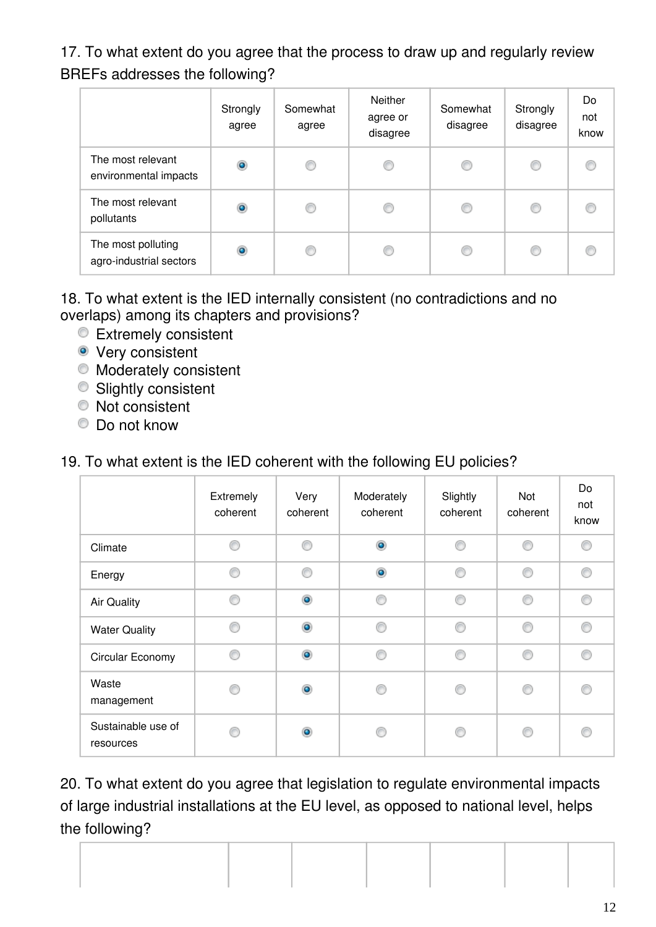17. To what extent do you agree that the process to draw up and regularly review BREFs addresses the following?

|                                               | Strongly<br>agree | Somewhat<br>agree | <b>Neither</b><br>agree or<br>disagree | Somewhat<br>disagree | Strongly<br>disagree | Do<br>not<br>know |
|-----------------------------------------------|-------------------|-------------------|----------------------------------------|----------------------|----------------------|-------------------|
| The most relevant<br>environmental impacts    | $\bullet$         | ◎                 | C                                      | C                    | ∩                    |                   |
| The most relevant<br>pollutants               | $\bullet$         | O                 |                                        | O                    | ⊙                    |                   |
| The most polluting<br>agro-industrial sectors | $\bullet$         | C                 |                                        | 6                    | €                    |                   |

18. To what extent is the IED internally consistent (no contradictions and no overlaps) among its chapters and provisions?

- **Extremely consistent**
- **•** Very consistent
- Moderately consistent
- **Slightly consistent**
- Not consistent
- Do not know

### 19. To what extent is the IED coherent with the following EU policies?

|                                 | Extremely<br>coherent | Very<br>coherent | Moderately<br>coherent | Slightly<br>coherent | Not<br>coherent | Do<br>not<br>know |
|---------------------------------|-----------------------|------------------|------------------------|----------------------|-----------------|-------------------|
| Climate                         | ⋒                     | ∩                | $\bullet$              | ∩                    | ⊙               | ⊙                 |
| Energy                          |                       | ⋒                | $\circledcirc$         | ⋒                    | ∩               | 0                 |
| <b>Air Quality</b>              | ⋒                     | $\bullet$        | ∩                      | ⋒                    | ⊙               | ⊙                 |
| <b>Water Quality</b>            |                       | $\bullet$        | ⋒                      | ⋒                    | ⋒               | ∩                 |
| Circular Economy                | A                     | $\circledcirc$   | ⋒                      | ⋒                    | ∩               | ⊙                 |
| Waste<br>management             |                       | $\circledcirc$   |                        |                      | ⋒               | ◉                 |
| Sustainable use of<br>resources |                       | ۰                |                        |                      | ⋒               | €                 |

20. To what extent do you agree that legislation to regulate environmental impacts of large industrial installations at the EU level, as opposed to national level, helps the following?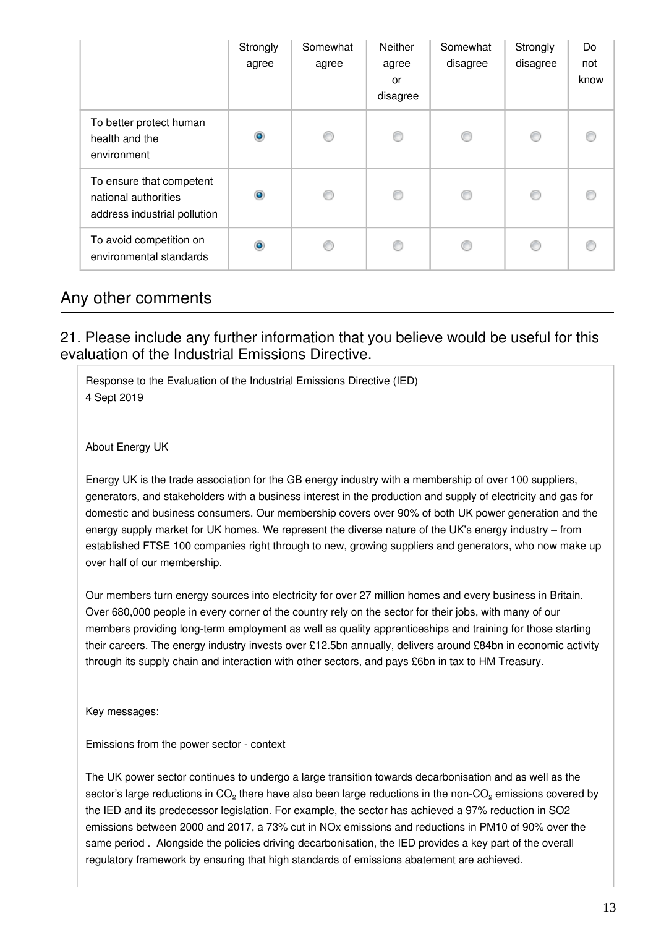|                                                                                  | Strongly<br>agree | Somewhat<br>agree | <b>Neither</b><br>agree<br>or<br>disagree | Somewhat<br>disagree | Strongly<br>disagree | Do<br>not<br>know |
|----------------------------------------------------------------------------------|-------------------|-------------------|-------------------------------------------|----------------------|----------------------|-------------------|
| To better protect human<br>health and the<br>environment                         | $\bullet$         | €                 | ◎                                         | €                    | ⋒                    |                   |
| To ensure that competent<br>national authorities<br>address industrial pollution | ۰                 | €                 | ⋒                                         | C                    | ⋒                    |                   |
| To avoid competition on<br>environmental standards                               | $\bullet$         |                   |                                           |                      | ⋒                    |                   |

### Any other comments

### 21. Please include any further information that you believe would be useful for this evaluation of the Industrial Emissions Directive.

Response to the Evaluation of the Industrial Emissions Directive (IED) 4 Sept 2019

About Energy UK

Energy UK is the trade association for the GB energy industry with a membership of over 100 suppliers, generators, and stakeholders with a business interest in the production and supply of electricity and gas for domestic and business consumers. Our membership covers over 90% of both UK power generation and the energy supply market for UK homes. We represent the diverse nature of the UK's energy industry – from established FTSE 100 companies right through to new, growing suppliers and generators, who now make up over half of our membership.

Our members turn energy sources into electricity for over 27 million homes and every business in Britain. Over 680,000 people in every corner of the country rely on the sector for their jobs, with many of our members providing long-term employment as well as quality apprenticeships and training for those starting their careers. The energy industry invests over £12.5bn annually, delivers around £84bn in economic activity through its supply chain and interaction with other sectors, and pays £6bn in tax to HM Treasury.

Key messages:

Emissions from the power sector - context

The UK power sector continues to undergo a large transition towards decarbonisation and as well as the sector's large reductions in CO<sub>2</sub> there have also been large reductions in the non-CO<sub>2</sub> emissions covered by the IED and its predecessor legislation. For example, the sector has achieved a 97% reduction in SO2 emissions between 2000 and 2017, a 73% cut in NOx emissions and reductions in PM10 of 90% over the same period . Alongside the policies driving decarbonisation, the IED provides a key part of the overall regulatory framework by ensuring that high standards of emissions abatement are achieved.